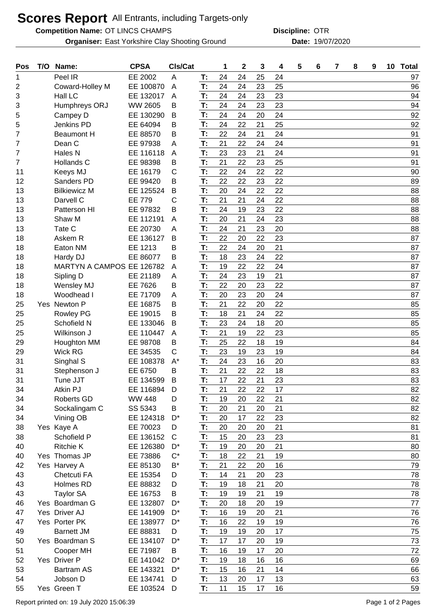## **Scores Report** All Entrants, including Targets-only

**Competition Name: OT LINCS CHAMPS COMPRESS COMPRESS COMPRESS COMPRESS COMPRESS COMPRESS** 

**Organiser:** East Yorkshire Clay Shooting Ground **19/07/2020** Date: 19/07/2020

**Discipline:**

| Pos | T/O | Name:                     | <b>CPSA</b>    | CIs/Cat      |    | 1  | 2  | 3  | 4  | 5 | 6 | 7 | 8 | 9 | 10 Total |
|-----|-----|---------------------------|----------------|--------------|----|----|----|----|----|---|---|---|---|---|----------|
| 1   |     | Peel IR                   | EE 2002        | A            | T: | 24 | 24 | 25 | 24 |   |   |   |   |   | 97       |
| 2   |     | Coward-Holley M           | EE 100870      | A            | T: | 24 | 24 | 23 | 25 |   |   |   |   |   | 96       |
| 3   |     | Hall LC                   | EE 132017      | A            | T: | 24 | 24 | 23 | 23 |   |   |   |   |   | 94       |
| 3   |     | Humphreys ORJ             | <b>WW 2605</b> | В            | T: | 24 | 24 | 23 | 23 |   |   |   |   |   | 94       |
| 5   |     | Campey D                  | EE 130290      | В            | T: | 24 | 24 | 20 | 24 |   |   |   |   |   | 92       |
| 5   |     | Jenkins PD                | EE 64094       | в            | T: | 24 | 22 | 21 | 25 |   |   |   |   |   | 92       |
| 7   |     | <b>Beaumont H</b>         | EE 88570       | в            | T: | 22 | 24 | 21 | 24 |   |   |   |   |   | 91       |
| 7   |     | Dean C                    | EE 97938       | A            | T: | 21 | 22 | 24 | 24 |   |   |   |   |   | 91       |
| 7   |     | Hales N                   | EE 116118      | A            | T: | 23 | 23 | 21 | 24 |   |   |   |   |   | 91       |
| 7   |     | Hollands C                | EE 98398       | В            | T: | 21 | 22 | 23 | 25 |   |   |   |   |   | 91       |
| 11  |     | Keeys MJ                  | EE 16179       | C            | T: | 22 | 24 | 22 | 22 |   |   |   |   |   | 90       |
| 12  |     | Sanders PD                | EE 99420       | B            | T: | 22 | 22 | 23 | 22 |   |   |   |   |   | 89       |
| 13  |     | <b>Bilkiewicz M</b>       | EE 125524      | B            | T: | 20 | 24 | 22 | 22 |   |   |   |   |   | 88       |
| 13  |     | Darvell C                 | <b>EE 779</b>  | C            | T: | 21 | 21 | 24 | 22 |   |   |   |   |   | 88       |
| 13  |     | Patterson HI              | EE 97832       | в            | T: | 24 | 19 | 23 | 22 |   |   |   |   |   | 88       |
| 13  |     | Shaw M                    | EE 112191      | Α            | T: | 20 | 21 | 24 | 23 |   |   |   |   |   | 88       |
| 13  |     | Tate C                    | EE 20730       | A            | T: | 24 | 21 | 23 | 20 |   |   |   |   |   | 88       |
| 18  |     | Askem R                   | EE 136127      | B            | T: | 22 | 20 | 22 | 23 |   |   |   |   |   | 87       |
| 18  |     | Eaton NM                  | EE 1213        | Β            | T: | 22 | 24 | 20 | 21 |   |   |   |   |   | 87       |
| 18  |     | Hardy DJ                  | EE 86077       | Β            | T: | 18 | 23 | 24 | 22 |   |   |   |   |   | 87       |
| 18  |     | MARTYN A CAMPOS EE 126782 |                | A            | T: | 19 | 22 | 22 | 24 |   |   |   |   |   | 87       |
| 18  |     | Sipling D                 | EE 21189       | A            | T: | 24 | 23 | 19 | 21 |   |   |   |   |   | 87       |
| 18  |     | Wensley MJ                | EE 7626        | В            | T: | 22 | 20 | 23 | 22 |   |   |   |   |   | 87       |
| 18  |     | Woodhead I                | EE 71709       | Α            | T: | 20 | 23 | 20 | 24 |   |   |   |   |   | 87       |
| 25  |     | Yes Newton P              | EE 16875       | B            | T: | 21 | 22 | 20 | 22 |   |   |   |   |   | 85       |
| 25  |     | <b>Rowley PG</b>          | EE 19015       | в            | T: | 18 | 21 | 24 | 22 |   |   |   |   |   | 85       |
| 25  |     | Schofield N               | EE 133046      | В            | T: | 23 | 24 | 18 | 20 |   |   |   |   |   | 85       |
| 25  |     | Wilkinson J               | EE 110447      | A            | T: | 21 | 19 | 22 | 23 |   |   |   |   |   | 85       |
| 29  |     | Houghton MM               | EE 98708       | В            | T: | 25 | 22 | 18 | 19 |   |   |   |   |   | 84       |
| 29  |     | <b>Wick RG</b>            | EE 34535       | C            | T: | 23 | 19 | 23 | 19 |   |   |   |   |   | 84       |
| 31  |     | Singhal S                 | EE 108378      | $A^*$        | T: | 24 | 23 | 16 | 20 |   |   |   |   |   | 83       |
| 31  |     | Stephenson J              | EE 6750        | B            | T: | 21 | 22 | 22 | 18 |   |   |   |   |   | 83       |
| 31  |     | Tune JJT                  | EE 134599      | B            | T: | 17 | 22 | 21 | 23 |   |   |   |   |   | 83       |
| 34  |     | Atkin PJ                  | EE 116894      | D            | T: | 21 | 22 | 22 | 17 |   |   |   |   |   | 82       |
| 34  |     | <b>Roberts GD</b>         | <b>WW 448</b>  | D            | T: | 19 | 20 | 22 | 21 |   |   |   |   |   | 82       |
| 34  |     | Sockalingam C             | SS 5343        | B            | T: | 20 | 21 | 20 | 21 |   |   |   |   |   | 82       |
| 34  |     | Vining OB                 | EE 124318      | $D^*$        | T: | 20 | 17 | 22 | 23 |   |   |   |   |   | 82       |
| 38  |     | Yes Kaye A                | EE 70023       | D            | T: | 20 | 20 | 20 | 21 |   |   |   |   |   | 81       |
| 38  |     | Schofield P               | EE 136152      | $\mathsf{C}$ | T: | 15 | 20 | 23 | 23 |   |   |   |   |   | 81       |
| 40  |     | <b>Ritchie K</b>          | EE 126380      | $D^*$        | T: | 19 | 20 | 20 | 21 |   |   |   |   |   | 80       |
| 40  |     | Yes Thomas JP             | EE 73886       | $C^*$        | T: | 18 | 22 | 21 | 19 |   |   |   |   |   | 80       |
| 42  |     | Yes Harvey A              | EE 85130       | B*           | T: | 21 | 22 | 20 | 16 |   |   |   |   |   | 79       |
| 43  |     | Chetcuti FA               | EE 15354       | D            | T: | 14 | 21 | 20 | 23 |   |   |   |   |   | 78       |
| 43  |     | Holmes RD                 | EE 88832       | D            | T: | 19 | 18 | 21 | 20 |   |   |   |   |   | 78       |
| 43  |     | <b>Taylor SA</b>          | EE 16753       | В            | T: | 19 | 19 | 21 | 19 |   |   |   |   |   | 78       |
| 46  |     | Yes Boardman G            | EE 132807      | $D^*$        | T: | 20 | 18 | 20 | 19 |   |   |   |   |   | 77       |
| 47  |     | Yes Driver AJ             | EE 141909      | $D^*$        | T: | 16 | 19 | 20 | 21 |   |   |   |   |   | 76       |
| 47  |     | Yes Porter PK             | EE 138977      | D*           | T: | 16 | 22 | 19 | 19 |   |   |   |   |   | 76       |
| 49  |     | <b>Barnett JM</b>         | EE 88831       | D            | T: | 19 | 19 | 20 | 17 |   |   |   |   |   | 75       |
| 50  |     | Yes Boardman S            | EE 134107      | $D^*$        | T: | 17 | 17 | 20 | 19 |   |   |   |   |   | 73       |
| 51  |     | Cooper MH                 | EE 71987       | В            | T: | 16 | 19 | 17 | 20 |   |   |   |   |   | 72       |
| 52  |     | Yes Driver P              | EE 141042      | $D^*$        | T: | 19 | 18 | 16 | 16 |   |   |   |   |   | 69       |
| 53  |     | <b>Bartram AS</b>         | EE 143321      | D*           | T: | 15 | 16 | 21 | 14 |   |   |   |   |   | 66       |
| 54  |     | Jobson D                  | EE 134741      | D            | T: | 13 | 20 | 17 | 13 |   |   |   |   |   | 63       |
| 55  |     | Yes Green T               | EE 103524      | D            | T: | 11 | 15 | 17 | 16 |   |   |   |   |   | 59       |
|     |     |                           |                |              |    |    |    |    |    |   |   |   |   |   |          |